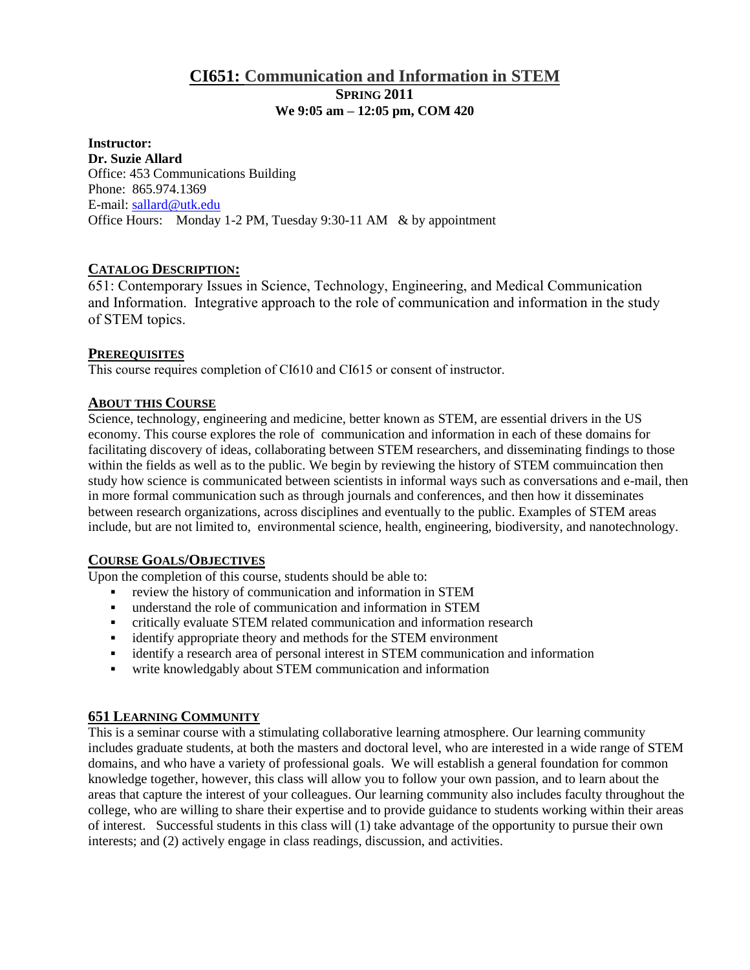# **CI651: Communication and Information in STEM SPRING 2011 We 9:05 am – 12:05 pm, COM 420**

#### **Instructor: Dr. Suzie Allard** Office: 453 Communications Building Phone: 865.974.1369 E-mail: [sallard@utk.edu](mailto:sallard@utk.edu) Office Hours: Monday 1-2 PM, Tuesday 9:30-11 AM & by appointment

## **CATALOG DESCRIPTION:**

651: Contemporary Issues in Science, Technology, Engineering, and Medical Communication and Information. Integrative approach to the role of communication and information in the study of STEM topics.

### **PREREQUISITES**

This course requires completion of CI610 and CI615 or consent of instructor.

### **ABOUT THIS COURSE**

Science, technology, engineering and medicine, better known as STEM, are essential drivers in the US economy. This course explores the role of communication and information in each of these domains for facilitating discovery of ideas, collaborating between STEM researchers, and disseminating findings to those within the fields as well as to the public. We begin by reviewing the history of STEM commuincation then study how science is communicated between scientists in informal ways such as conversations and e-mail, then in more formal communication such as through journals and conferences, and then how it disseminates between research organizations, across disciplines and eventually to the public. Examples of STEM areas include, but are not limited to, environmental science, health, engineering, biodiversity, and nanotechnology.

### **COURSE GOALS/OBJECTIVES**

Upon the completion of this course, students should be able to:

- review the history of communication and information in STEM
- understand the role of communication and information in STEM
- critically evaluate STEM related communication and information research
- identify appropriate theory and methods for the STEM environment
- identify a research area of personal interest in STEM communication and information
- write knowledgably about STEM communication and information

### **651 LEARNING COMMUNITY**

This is a seminar course with a stimulating collaborative learning atmosphere. Our learning community includes graduate students, at both the masters and doctoral level, who are interested in a wide range of STEM domains, and who have a variety of professional goals. We will establish a general foundation for common knowledge together, however, this class will allow you to follow your own passion, and to learn about the areas that capture the interest of your colleagues. Our learning community also includes faculty throughout the college, who are willing to share their expertise and to provide guidance to students working within their areas of interest. Successful students in this class will (1) take advantage of the opportunity to pursue their own interests; and (2) actively engage in class readings, discussion, and activities.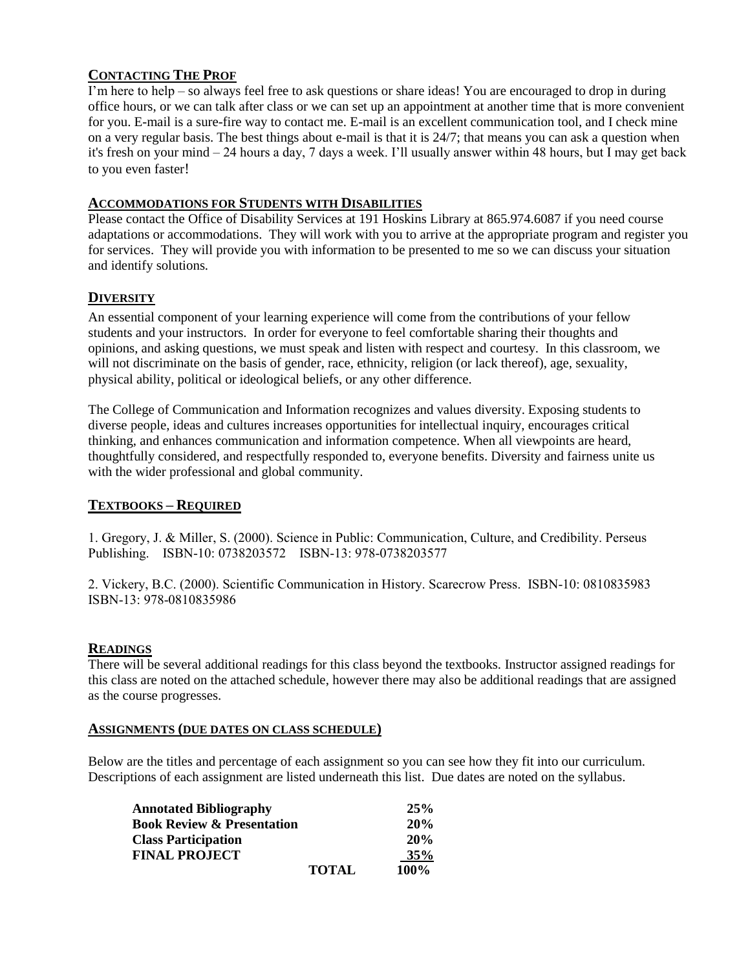## **CONTACTING THE PROF**

I'm here to help – so always feel free to ask questions or share ideas! You are encouraged to drop in during office hours, or we can talk after class or we can set up an appointment at another time that is more convenient for you. E-mail is a sure-fire way to contact me. E-mail is an excellent communication tool, and I check mine on a very regular basis. The best things about e-mail is that it is 24/7; that means you can ask a question when it's fresh on your mind – 24 hours a day, 7 days a week. I'll usually answer within 48 hours, but I may get back to you even faster!

#### **ACCOMMODATIONS FOR STUDENTS WITH DISABILITIES**

Please contact the Office of Disability Services at 191 Hoskins Library at 865.974.6087 if you need course adaptations or accommodations. They will work with you to arrive at the appropriate program and register you for services. They will provide you with information to be presented to me so we can discuss your situation and identify solutions.

## **DIVERSITY**

An essential component of your learning experience will come from the contributions of your fellow students and your instructors. In order for everyone to feel comfortable sharing their thoughts and opinions, and asking questions, we must speak and listen with respect and courtesy. In this classroom, we will not discriminate on the basis of gender, race, ethnicity, religion (or lack thereof), age, sexuality, physical ability, political or ideological beliefs, or any other difference.

The College of Communication and Information recognizes and values diversity. Exposing students to diverse people, ideas and cultures increases opportunities for intellectual inquiry, encourages critical thinking, and enhances communication and information competence. When all viewpoints are heard, thoughtfully considered, and respectfully responded to, everyone benefits. Diversity and fairness unite us with the wider professional and global community.

### **TEXTBOOKS – REQUIRED**

1. Gregory, J. & Miller, S. (2000). Science in Public: Communication, Culture, and Credibility. Perseus Publishing. ISBN-10: 0738203572 ISBN-13: 978-0738203577

2. Vickery, B.C. (2000). Scientific Communication in History. Scarecrow Press. ISBN-10: 0810835983 ISBN-13: 978-0810835986

#### **READINGS**

There will be several additional readings for this class beyond the textbooks. Instructor assigned readings for this class are noted on the attached schedule, however there may also be additional readings that are assigned as the course progresses.

#### **ASSIGNMENTS (DUE DATES ON CLASS SCHEDULE)**

Below are the titles and percentage of each assignment so you can see how they fit into our curriculum. Descriptions of each assignment are listed underneath this list. Due dates are noted on the syllabus.

| <b>Annotated Bibliography</b>         |              | 25%         |
|---------------------------------------|--------------|-------------|
| <b>Book Review &amp; Presentation</b> |              | 20%         |
| <b>Class Participation</b>            |              | 20%         |
| <b>FINAL PROJECT</b>                  |              | 35%         |
|                                       | <b>TOTAL</b> | <b>100%</b> |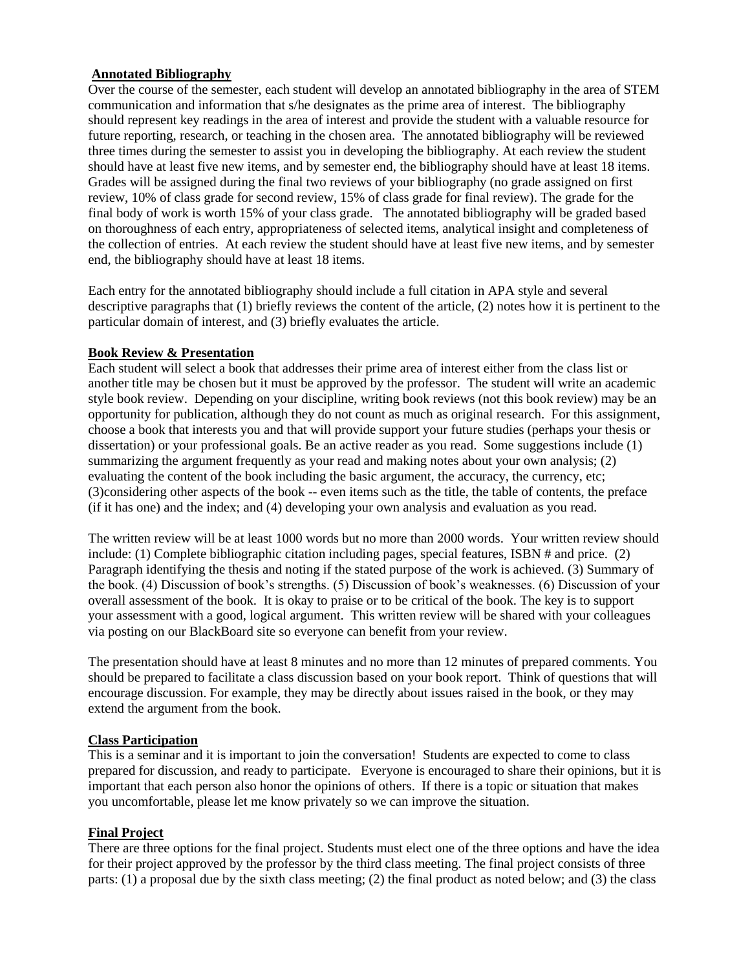### **Annotated Bibliography**

Over the course of the semester, each student will develop an annotated bibliography in the area of STEM communication and information that s/he designates as the prime area of interest. The bibliography should represent key readings in the area of interest and provide the student with a valuable resource for future reporting, research, or teaching in the chosen area. The annotated bibliography will be reviewed three times during the semester to assist you in developing the bibliography. At each review the student should have at least five new items, and by semester end, the bibliography should have at least 18 items. Grades will be assigned during the final two reviews of your bibliography (no grade assigned on first review, 10% of class grade for second review, 15% of class grade for final review). The grade for the final body of work is worth 15% of your class grade. The annotated bibliography will be graded based on thoroughness of each entry, appropriateness of selected items, analytical insight and completeness of the collection of entries. At each review the student should have at least five new items, and by semester end, the bibliography should have at least 18 items.

Each entry for the annotated bibliography should include a full citation in APA style and several descriptive paragraphs that (1) briefly reviews the content of the article, (2) notes how it is pertinent to the particular domain of interest, and (3) briefly evaluates the article.

#### **Book Review & Presentation**

Each student will select a book that addresses their prime area of interest either from the class list or another title may be chosen but it must be approved by the professor. The student will write an academic style book review. Depending on your discipline, writing book reviews (not this book review) may be an opportunity for publication, although they do not count as much as original research. For this assignment, choose a book that interests you and that will provide support your future studies (perhaps your thesis or dissertation) or your professional goals. Be an active reader as you read. Some suggestions include (1) summarizing the argument frequently as your read and making notes about your own analysis; (2) evaluating the content of the book including the basic argument, the accuracy, the currency, etc; (3)considering other aspects of the book -- even items such as the title, the table of contents, the preface (if it has one) and the index; and (4) developing your own analysis and evaluation as you read.

The written review will be at least 1000 words but no more than 2000 words. Your written review should include: (1) Complete bibliographic citation including pages, special features, ISBN # and price. (2) Paragraph identifying the thesis and noting if the stated purpose of the work is achieved. (3) Summary of the book. (4) Discussion of book's strengths. (5) Discussion of book's weaknesses. (6) Discussion of your overall assessment of the book. It is okay to praise or to be critical of the book. The key is to support your assessment with a good, logical argument. This written review will be shared with your colleagues via posting on our BlackBoard site so everyone can benefit from your review.

The presentation should have at least 8 minutes and no more than 12 minutes of prepared comments. You should be prepared to facilitate a class discussion based on your book report. Think of questions that will encourage discussion. For example, they may be directly about issues raised in the book, or they may extend the argument from the book.

#### **Class Participation**

This is a seminar and it is important to join the conversation! Students are expected to come to class prepared for discussion, and ready to participate. Everyone is encouraged to share their opinions, but it is important that each person also honor the opinions of others. If there is a topic or situation that makes you uncomfortable, please let me know privately so we can improve the situation.

### **Final Project**

There are three options for the final project. Students must elect one of the three options and have the idea for their project approved by the professor by the third class meeting. The final project consists of three parts: (1) a proposal due by the sixth class meeting; (2) the final product as noted below; and (3) the class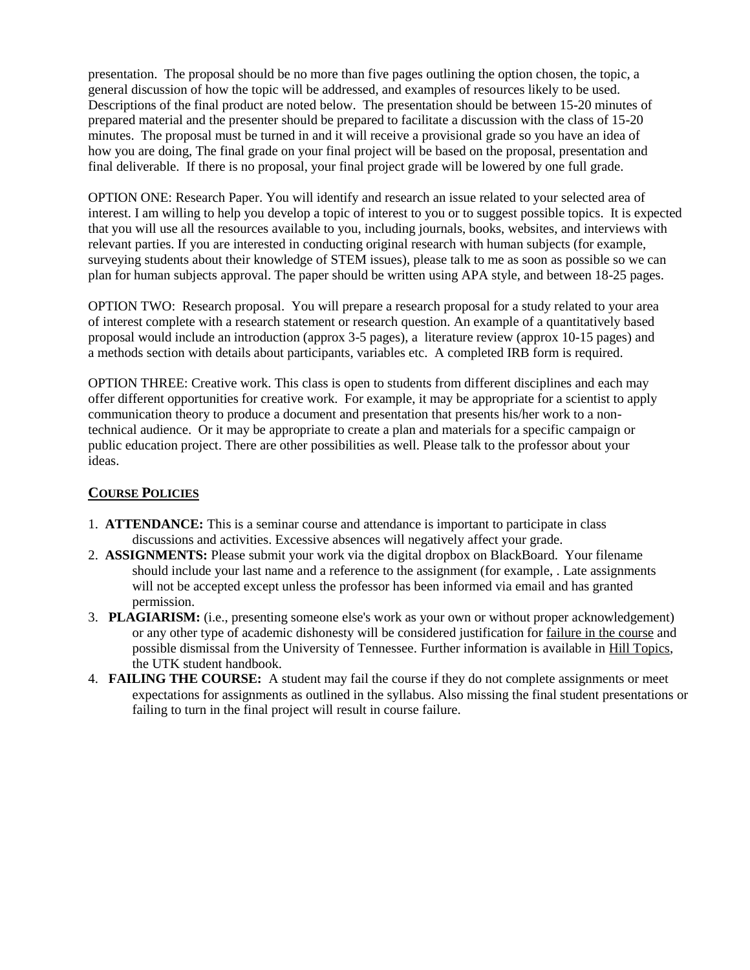presentation. The proposal should be no more than five pages outlining the option chosen, the topic, a general discussion of how the topic will be addressed, and examples of resources likely to be used. Descriptions of the final product are noted below. The presentation should be between 15-20 minutes of prepared material and the presenter should be prepared to facilitate a discussion with the class of 15-20 minutes. The proposal must be turned in and it will receive a provisional grade so you have an idea of how you are doing, The final grade on your final project will be based on the proposal, presentation and final deliverable. If there is no proposal, your final project grade will be lowered by one full grade.

OPTION ONE: Research Paper. You will identify and research an issue related to your selected area of interest. I am willing to help you develop a topic of interest to you or to suggest possible topics. It is expected that you will use all the resources available to you, including journals, books, websites, and interviews with relevant parties. If you are interested in conducting original research with human subjects (for example, surveying students about their knowledge of STEM issues), please talk to me as soon as possible so we can plan for human subjects approval. The paper should be written using APA style, and between 18-25 pages.

OPTION TWO: Research proposal. You will prepare a research proposal for a study related to your area of interest complete with a research statement or research question. An example of a quantitatively based proposal would include an introduction (approx 3-5 pages), a literature review (approx 10-15 pages) and a methods section with details about participants, variables etc. A completed IRB form is required.

OPTION THREE: Creative work. This class is open to students from different disciplines and each may offer different opportunities for creative work. For example, it may be appropriate for a scientist to apply communication theory to produce a document and presentation that presents his/her work to a nontechnical audience. Or it may be appropriate to create a plan and materials for a specific campaign or public education project. There are other possibilities as well. Please talk to the professor about your ideas.

### **COURSE POLICIES**

- 1. **ATTENDANCE:** This is a seminar course and attendance is important to participate in class discussions and activities. Excessive absences will negatively affect your grade.
- 2. **ASSIGNMENTS:** Please submit your work via the digital dropbox on BlackBoard. Your filename should include your last name and a reference to the assignment (for example, . Late assignments will not be accepted except unless the professor has been informed via email and has granted permission.
- 3. **PLAGIARISM:** (i.e., presenting someone else's work as your own or without proper acknowledgement) or any other type of academic dishonesty will be considered justification for failure in the course and possible dismissal from the University of Tennessee. Further information is available in Hill Topics, the UTK student handbook.
- 4. **FAILING THE COURSE:** A student may fail the course if they do not complete assignments or meet expectations for assignments as outlined in the syllabus. Also missing the final student presentations or failing to turn in the final project will result in course failure.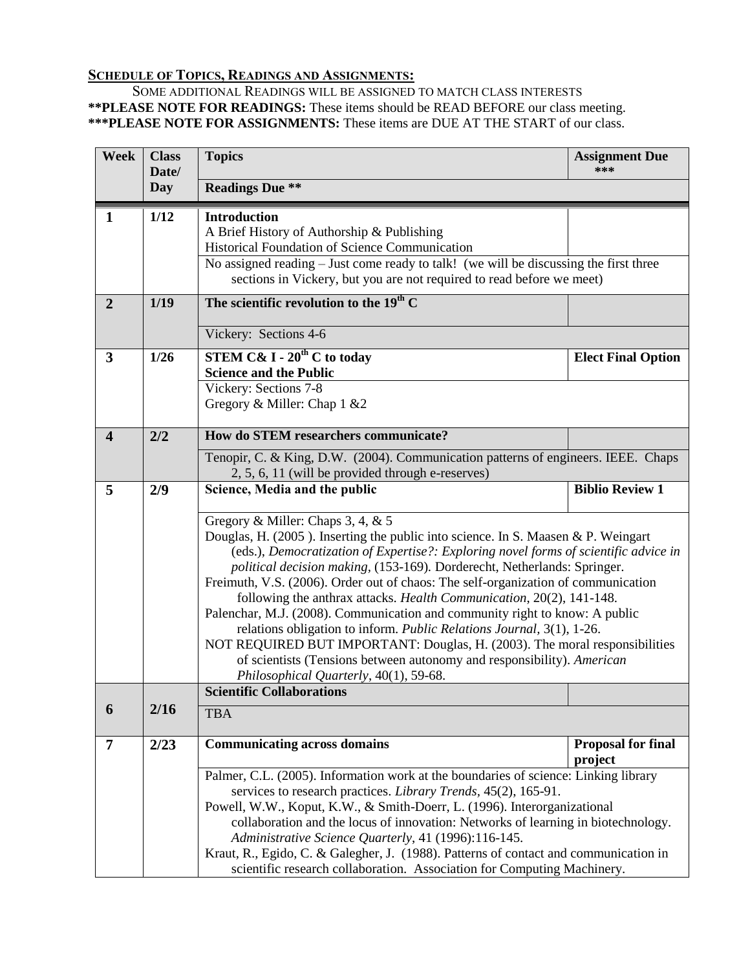## **SCHEDULE OF TOPICS, READINGS AND ASSIGNMENTS:**

SOME ADDITIONAL READINGS WILL BE ASSIGNED TO MATCH CLASS INTERESTS **\*\*PLEASE NOTE FOR READINGS:** These items should be READ BEFORE our class meeting. **\*\*\*PLEASE NOTE FOR ASSIGNMENTS:** These items are DUE AT THE START of our class.

| <b>Week</b>             | <b>Class</b><br>Date/ | <b>Topics</b>                                                                                                                                                                                                                                                                                                                                                                                                                                                                                                                                                                                                                                                                                                                                                                                                                                         | <b>Assignment Due</b><br>***         |
|-------------------------|-----------------------|-------------------------------------------------------------------------------------------------------------------------------------------------------------------------------------------------------------------------------------------------------------------------------------------------------------------------------------------------------------------------------------------------------------------------------------------------------------------------------------------------------------------------------------------------------------------------------------------------------------------------------------------------------------------------------------------------------------------------------------------------------------------------------------------------------------------------------------------------------|--------------------------------------|
|                         | Day                   | <b>Readings Due **</b>                                                                                                                                                                                                                                                                                                                                                                                                                                                                                                                                                                                                                                                                                                                                                                                                                                |                                      |
| 1                       | 1/12                  | <b>Introduction</b><br>A Brief History of Authorship & Publishing<br>Historical Foundation of Science Communication<br>No assigned reading – Just come ready to talk! (we will be discussing the first three<br>sections in Vickery, but you are not required to read before we meet)                                                                                                                                                                                                                                                                                                                                                                                                                                                                                                                                                                 |                                      |
| $\overline{2}$          | 1/19                  | The scientific revolution to the $19th$ C                                                                                                                                                                                                                                                                                                                                                                                                                                                                                                                                                                                                                                                                                                                                                                                                             |                                      |
|                         |                       | Vickery: Sections 4-6                                                                                                                                                                                                                                                                                                                                                                                                                                                                                                                                                                                                                                                                                                                                                                                                                                 |                                      |
| $\overline{\mathbf{3}}$ | $1/26$                | <b>STEM C&amp; I - 20<sup>th</sup> C to today</b><br><b>Science and the Public</b><br>Vickery: Sections 7-8                                                                                                                                                                                                                                                                                                                                                                                                                                                                                                                                                                                                                                                                                                                                           | <b>Elect Final Option</b>            |
|                         |                       | Gregory & Miller: Chap 1 & 2                                                                                                                                                                                                                                                                                                                                                                                                                                                                                                                                                                                                                                                                                                                                                                                                                          |                                      |
| $\overline{\mathbf{4}}$ | 2/2                   | How do STEM researchers communicate?                                                                                                                                                                                                                                                                                                                                                                                                                                                                                                                                                                                                                                                                                                                                                                                                                  |                                      |
|                         |                       | Tenopir, C. & King, D.W. (2004). Communication patterns of engineers. IEEE. Chaps<br>2, 5, 6, 11 (will be provided through e-reserves)                                                                                                                                                                                                                                                                                                                                                                                                                                                                                                                                                                                                                                                                                                                |                                      |
| 5                       | 2/9                   | Science, Media and the public                                                                                                                                                                                                                                                                                                                                                                                                                                                                                                                                                                                                                                                                                                                                                                                                                         | <b>Biblio Review 1</b>               |
|                         |                       | Gregory & Miller: Chaps 3, 4, & 5<br>Douglas, H. (2005). Inserting the public into science. In S. Maasen & P. Weingart<br>(eds.), Democratization of Expertise?: Exploring novel forms of scientific advice in<br>political decision making, (153-169). Dorderecht, Netherlands: Springer.<br>Freimuth, V.S. (2006). Order out of chaos: The self-organization of communication<br>following the anthrax attacks. Health Communication, 20(2), 141-148.<br>Palenchar, M.J. (2008). Communication and community right to know: A public<br>relations obligation to inform. Public Relations Journal, 3(1), 1-26.<br>NOT REQUIRED BUT IMPORTANT: Douglas, H. (2003). The moral responsibilities<br>of scientists (Tensions between autonomy and responsibility). American<br>Philosophical Quarterly, 40(1), 59-68.<br><b>Scientific Collaborations</b> |                                      |
| 6                       | 2/16                  | <b>TBA</b>                                                                                                                                                                                                                                                                                                                                                                                                                                                                                                                                                                                                                                                                                                                                                                                                                                            |                                      |
|                         |                       |                                                                                                                                                                                                                                                                                                                                                                                                                                                                                                                                                                                                                                                                                                                                                                                                                                                       |                                      |
| 7                       | 2/23                  | <b>Communicating across domains</b>                                                                                                                                                                                                                                                                                                                                                                                                                                                                                                                                                                                                                                                                                                                                                                                                                   | <b>Proposal for final</b><br>project |
|                         |                       | Palmer, C.L. (2005). Information work at the boundaries of science: Linking library<br>services to research practices. Library Trends, 45(2), 165-91.<br>Powell, W.W., Koput, K.W., & Smith-Doerr, L. (1996). Interorganizational<br>collaboration and the locus of innovation: Networks of learning in biotechnology.<br>Administrative Science Quarterly, 41 (1996):116-145.<br>Kraut, R., Egido, C. & Galegher, J. (1988). Patterns of contact and communication in<br>scientific research collaboration. Association for Computing Machinery.                                                                                                                                                                                                                                                                                                     |                                      |